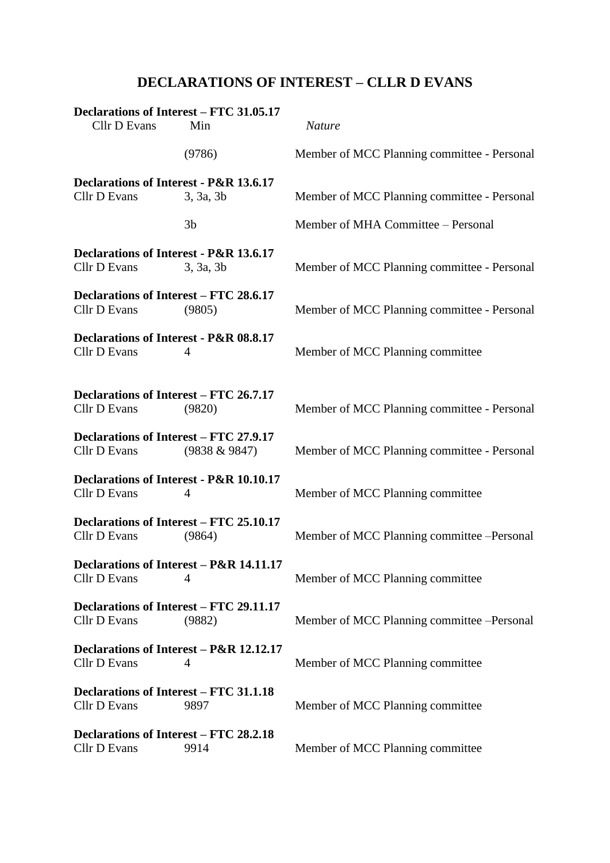## **DECLARATIONS OF INTEREST – CLLR D EVANS**

| Declarations of Interest - FTC 31.05.17<br>Cllr D Evans       | Min              | <b>Nature</b>                               |
|---------------------------------------------------------------|------------------|---------------------------------------------|
|                                                               | (9786)           | Member of MCC Planning committee - Personal |
| Declarations of Interest - P&R 13.6.17<br>Cllr D Evans        | 3, 3a, 3b        | Member of MCC Planning committee - Personal |
|                                                               | 3 <sub>b</sub>   | Member of MHA Committee - Personal          |
| Declarations of Interest - P&R 13.6.17<br>Cllr D Evans        | 3, 3a, 3b        | Member of MCC Planning committee - Personal |
| Declarations of Interest – FTC 28.6.17<br>Cllr D Evans        | (9805)           | Member of MCC Planning committee - Personal |
| Declarations of Interest - P&R 08.8.17<br>Cllr D Evans        | 4                | Member of MCC Planning committee            |
| Declarations of Interest – FTC 26.7.17<br>Cllr D Evans        | (9820)           | Member of MCC Planning committee - Personal |
| <b>Declarations of Interest - FTC 27.9.17</b><br>Cllr D Evans | $(9838 \& 9847)$ | Member of MCC Planning committee - Personal |
| Declarations of Interest - P&R 10.10.17<br>Cllr D Evans       | 4                | Member of MCC Planning committee            |
| Declarations of Interest – FTC 25.10.17<br>Cllr D Evans       | (9864)           | Member of MCC Planning committee -Personal  |
| Declarations of Interest - P&R 14.11.17<br>Cllr D Evans       | 4                | Member of MCC Planning committee            |
| Declarations of Interest – FTC 29.11.17<br>Cllr D Evans       | (9882)           | Member of MCC Planning committee -Personal  |
| Declarations of Interest - P&R 12.12.17<br>Cllr D Evans       | 4                | Member of MCC Planning committee            |
| <b>Declarations of Interest – FTC 31.1.18</b><br>Cllr D Evans | 9897             | Member of MCC Planning committee            |
| <b>Declarations of Interest – FTC 28.2.18</b><br>Cllr D Evans | 9914             | Member of MCC Planning committee            |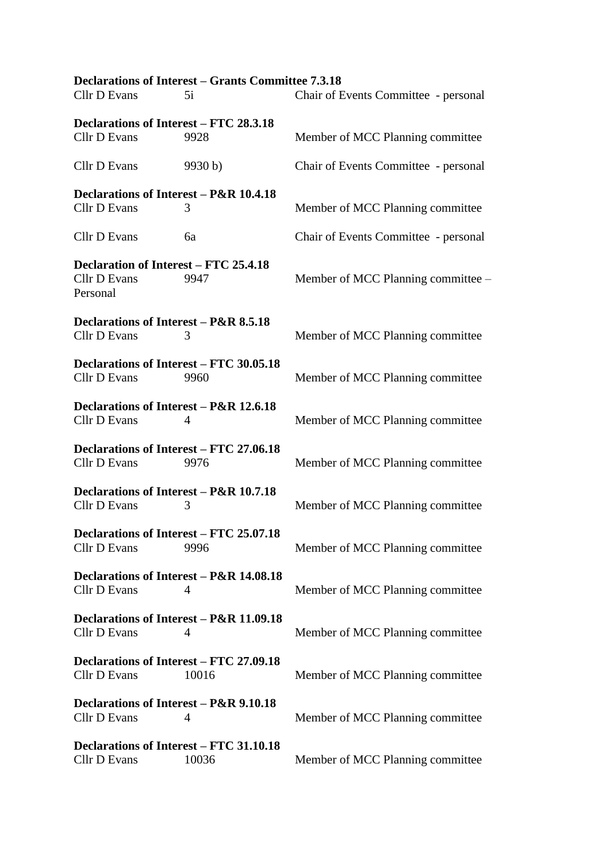|                                                                | <b>Declarations of Interest - Grants Committee 7.3.18</b> |                                      |
|----------------------------------------------------------------|-----------------------------------------------------------|--------------------------------------|
| Cllr D Evans                                                   | 5i                                                        | Chair of Events Committee - personal |
| Declarations of Interest – FTC 28.3.18                         |                                                           |                                      |
| Cllr D Evans                                                   | 9928                                                      | Member of MCC Planning committee     |
| Cllr D Evans                                                   | 9930 b)                                                   | Chair of Events Committee - personal |
| Declarations of Interest – P&R 10.4.18                         |                                                           |                                      |
| Cllr D Evans                                                   | 3                                                         | Member of MCC Planning committee     |
| Cllr D Evans                                                   | 6a                                                        | Chair of Events Committee - personal |
| Declaration of Interest - FTC 25.4.18                          |                                                           |                                      |
| Cllr D Evans<br>Personal                                       | 9947                                                      | Member of MCC Planning committee -   |
| Declarations of Interest – P&R 8.5.18                          |                                                           |                                      |
| Cllr D Evans                                                   | 3                                                         | Member of MCC Planning committee     |
| Declarations of Interest - FTC 30.05.18                        |                                                           |                                      |
| Cllr D Evans                                                   | 9960                                                      | Member of MCC Planning committee     |
| Declarations of Interest - P&R 12.6.18                         |                                                           |                                      |
| Cllr D Evans                                                   | 4                                                         | Member of MCC Planning committee     |
| Declarations of Interest – FTC 27.06.18                        |                                                           |                                      |
| Cllr D Evans                                                   | 9976                                                      | Member of MCC Planning committee     |
| Declarations of Interest – P&R 10.7.18                         |                                                           |                                      |
| Cllr D Evans                                                   | 3                                                         | Member of MCC Planning committee     |
| Declarations of Interest - FTC 25.07.18                        |                                                           |                                      |
| Cllr D Evans                                                   | 9996                                                      | Member of MCC Planning committee     |
| Declarations of Interest – P&R 14.08.18                        |                                                           |                                      |
| <b>Cllr D Evans</b>                                            | 4                                                         | Member of MCC Planning committee     |
| Declarations of Interest – P&R 11.09.18                        |                                                           |                                      |
| Cllr D Evans                                                   | 4                                                         | Member of MCC Planning committee     |
| Declarations of Interest – FTC 27.09.18<br>Cllr D Evans        | 10016                                                     | Member of MCC Planning committee     |
| Declarations of Interest – P&R 9.10.18<br>Cllr D Evans         | 4                                                         | Member of MCC Planning committee     |
| <b>Declarations of Interest - FTC 31.10.18</b><br>Cllr D Evans | 10036                                                     | Member of MCC Planning committee     |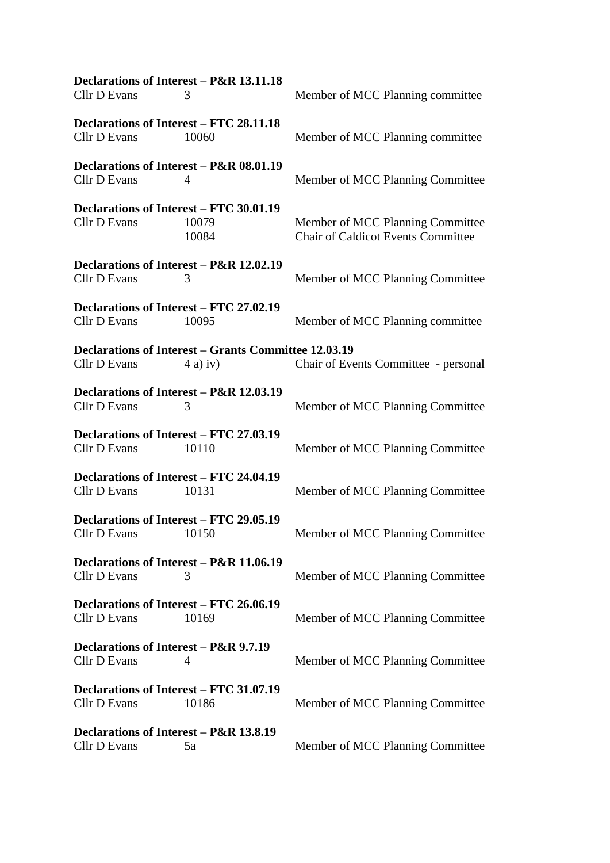| Declarations of Interest - P&R 13.11.18 |                                                             |                                           |  |  |
|-----------------------------------------|-------------------------------------------------------------|-------------------------------------------|--|--|
| Cllr D Evans                            | 3                                                           | Member of MCC Planning committee          |  |  |
| Declarations of Interest - FTC 28.11.18 |                                                             |                                           |  |  |
| Cllr D Evans                            | 10060                                                       | Member of MCC Planning committee          |  |  |
| Declarations of Interest - P&R 08.01.19 |                                                             |                                           |  |  |
| Cllr D Evans                            | 4                                                           | Member of MCC Planning Committee          |  |  |
| Declarations of Interest – FTC 30.01.19 |                                                             |                                           |  |  |
| Cllr D Evans                            | 10079                                                       | Member of MCC Planning Committee          |  |  |
|                                         | 10084                                                       | <b>Chair of Caldicot Events Committee</b> |  |  |
| Declarations of Interest - P&R 12.02.19 |                                                             |                                           |  |  |
| Cllr D Evans                            | 3                                                           | Member of MCC Planning Committee          |  |  |
| Declarations of Interest – FTC 27.02.19 |                                                             |                                           |  |  |
| Cllr D Evans                            | 10095                                                       | Member of MCC Planning committee          |  |  |
|                                         | <b>Declarations of Interest - Grants Committee 12.03.19</b> |                                           |  |  |
| Cllr D Evans                            | $(4a)$ iv)                                                  | Chair of Events Committee - personal      |  |  |
| Declarations of Interest – P&R 12.03.19 |                                                             |                                           |  |  |
| Cllr D Evans                            | 3                                                           | Member of MCC Planning Committee          |  |  |
| Declarations of Interest – FTC 27.03.19 |                                                             |                                           |  |  |
| Cllr D Evans                            | 10110                                                       | Member of MCC Planning Committee          |  |  |
| Declarations of Interest – FTC 24.04.19 |                                                             |                                           |  |  |
| Cllr D Evans                            | 10131                                                       | Member of MCC Planning Committee          |  |  |
| Declarations of Interest – FTC 29.05.19 |                                                             |                                           |  |  |
| Cllr D Evans 10150                      |                                                             | Member of MCC Planning Committee          |  |  |
| Declarations of Interest – P&R 11.06.19 |                                                             |                                           |  |  |
| Cllr D Evans                            | 3                                                           | Member of MCC Planning Committee          |  |  |
| Declarations of Interest – FTC 26.06.19 |                                                             |                                           |  |  |
| Cllr D Evans                            | 10169                                                       | Member of MCC Planning Committee          |  |  |
| Declarations of Interest – P&R 9.7.19   |                                                             |                                           |  |  |
| Cllr D Evans                            | 4                                                           | Member of MCC Planning Committee          |  |  |
| Declarations of Interest – FTC 31.07.19 |                                                             |                                           |  |  |
| Cllr D Evans                            | 10186                                                       | Member of MCC Planning Committee          |  |  |
| Declarations of Interest – P&R 13.8.19  |                                                             |                                           |  |  |
| Cllr D Evans                            | 5a                                                          |                                           |  |  |
|                                         |                                                             | Member of MCC Planning Committee          |  |  |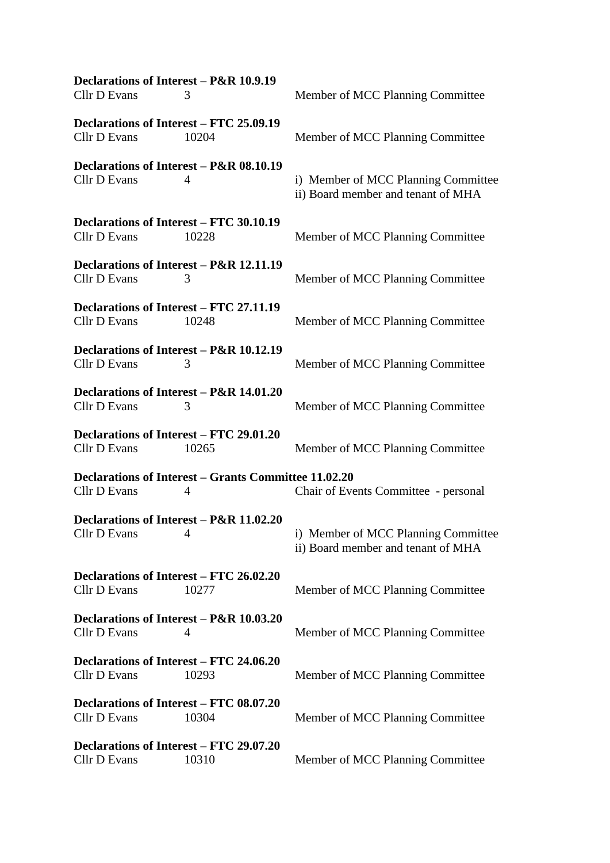| Declarations of Interest – P&R 10.9.19         |                                                             |                                                                           |  |  |
|------------------------------------------------|-------------------------------------------------------------|---------------------------------------------------------------------------|--|--|
| <b>Cllr D Evans</b>                            | 3                                                           | Member of MCC Planning Committee                                          |  |  |
| Declarations of Interest – FTC 25.09.19        |                                                             |                                                                           |  |  |
| <b>Cllr D Evans</b>                            | 10204                                                       | Member of MCC Planning Committee                                          |  |  |
|                                                | Declarations of Interest - P&R 08.10.19                     |                                                                           |  |  |
| <b>Cllr D Evans</b>                            | 4                                                           | i) Member of MCC Planning Committee<br>ii) Board member and tenant of MHA |  |  |
| Declarations of Interest – FTC 30.10.19        |                                                             |                                                                           |  |  |
| Cllr D Evans                                   | 10228                                                       | Member of MCC Planning Committee                                          |  |  |
|                                                | Declarations of Interest - P&R 12.11.19                     |                                                                           |  |  |
| <b>Cllr D Evans</b>                            | 3                                                           | Member of MCC Planning Committee                                          |  |  |
| Declarations of Interest – FTC 27.11.19        |                                                             |                                                                           |  |  |
| <b>Cllr D Evans</b>                            | 10248                                                       | Member of MCC Planning Committee                                          |  |  |
|                                                | Declarations of Interest - P&R 10.12.19                     |                                                                           |  |  |
| Cllr D Evans                                   | 3                                                           | Member of MCC Planning Committee                                          |  |  |
|                                                | Declarations of Interest – P&R 14.01.20                     |                                                                           |  |  |
| <b>Cllr D Evans</b>                            | 3                                                           | Member of MCC Planning Committee                                          |  |  |
| Declarations of Interest – FTC 29.01.20        |                                                             |                                                                           |  |  |
| Cllr D Evans                                   | 10265                                                       | Member of MCC Planning Committee                                          |  |  |
|                                                | <b>Declarations of Interest - Grants Committee 11.02.20</b> |                                                                           |  |  |
| Cllr D Evans                                   | 4                                                           | Chair of Events Committee - personal                                      |  |  |
|                                                | Declarations of Interest - P&R 11.02.20                     |                                                                           |  |  |
| Cllr D Evans 4                                 |                                                             | i) Member of MCC Planning Committee<br>ii) Board member and tenant of MHA |  |  |
|                                                |                                                             |                                                                           |  |  |
| Declarations of Interest - FTC 26.02.20        |                                                             |                                                                           |  |  |
| Cllr D Evans                                   | 10277                                                       | Member of MCC Planning Committee                                          |  |  |
|                                                | Declarations of Interest - P&R 10.03.20                     |                                                                           |  |  |
| <b>Cllr D Evans</b>                            | 4                                                           | Member of MCC Planning Committee                                          |  |  |
| <b>Declarations of Interest – FTC 24.06.20</b> |                                                             |                                                                           |  |  |
| <b>Cllr D Evans</b>                            | 10293                                                       | Member of MCC Planning Committee                                          |  |  |
| <b>Declarations of Interest – FTC 08.07.20</b> |                                                             |                                                                           |  |  |
| <b>Cllr D Evans</b>                            | 10304                                                       | Member of MCC Planning Committee                                          |  |  |
| Declarations of Interest - FTC 29.07.20        |                                                             |                                                                           |  |  |
| <b>Cllr D Evans</b>                            | 10310                                                       | Member of MCC Planning Committee                                          |  |  |
|                                                |                                                             |                                                                           |  |  |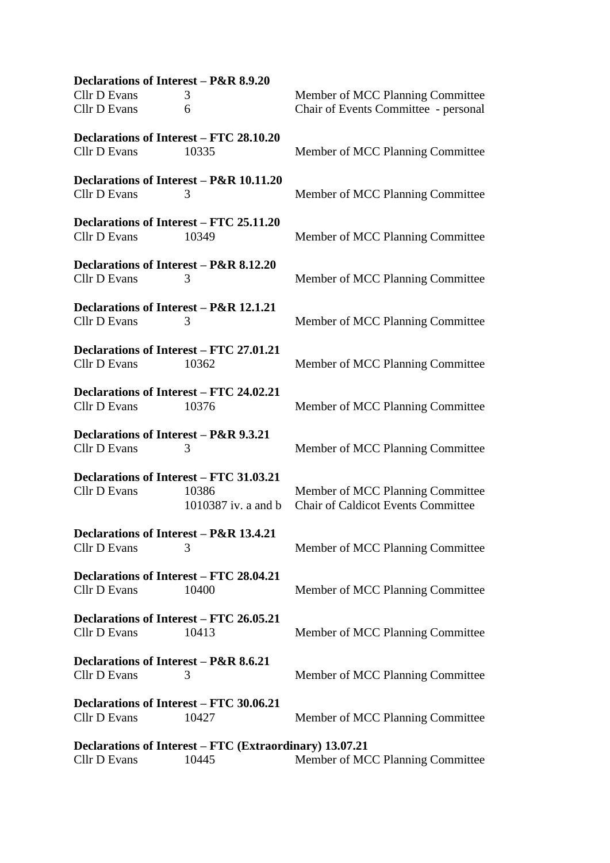**Declarations of Interest – P&R 8.9.20** Cllr D Evans 3<br>
S<br>
Clear of MCC Planning Committee<br>
Chair of Events Committee - personal 6 Chair of Events Committee - personal **Declarations of Interest – FTC 28.10.20** Cllr D Evans 10335 Member of MCC Planning Committee **Declarations of Interest – P&R 10.11.20** Cllr D Evans 3 Member of MCC Planning Committee **Declarations of Interest – FTC 25.11.20** Cllr D Evans 10349 Member of MCC Planning Committee **Declarations of Interest – P&R 8.12.20** Cllr D Evans 3 Member of MCC Planning Committee **Declarations of Interest – P&R 12.1.21** Cllr D Evans 3 3 Member of MCC Planning Committee **Declarations of Interest – FTC 27.01.21** Cllr D Evans 10362 Member of MCC Planning Committee **Declarations of Interest – FTC 24.02.21** Cllr D Evans 10376 Member of MCC Planning Committee **Declarations of Interest – P&R 9.3.21** Cllr D Evans 3 Member of MCC Planning Committee **Declarations of Interest – FTC 31.03.21** Cllr D Evans 10386 Member of MCC Planning Committee 1010387 iv. a and b Chair of Caldicot Events Committee **Declarations of Interest – P&R 13.4.21** Cllr D Evans 3 Member of MCC Planning Committee **Declarations of Interest – FTC 28.04.21** Cllr D Evans 10400 Member of MCC Planning Committee **Declarations of Interest – FTC 26.05.21** Cllr D Evans 10413 Member of MCC Planning Committee **Declarations of Interest – P&R 8.6.21** Cllr D Evans 3 Member of MCC Planning Committee **Declarations of Interest – FTC 30.06.21** Cllr D Evans 10427 Member of MCC Planning Committee **Declarations of Interest – FTC (Extraordinary) 13.07.21** Cllr D Evans 10445 Member of MCC Planning Committee